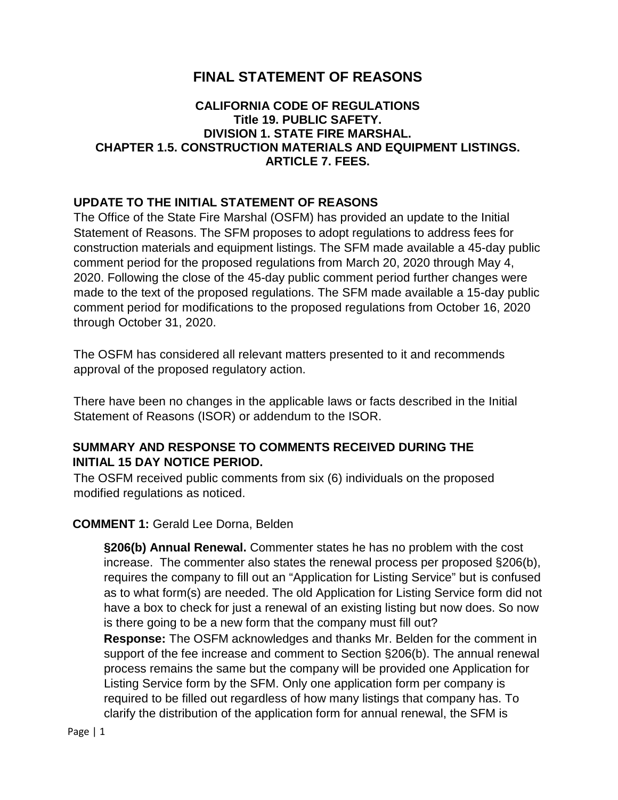# **FINAL STATEMENT OF REASONS**

### **CALIFORNIA CODE OF REGULATIONS Title 19. PUBLIC SAFETY. DIVISION 1. STATE FIRE MARSHAL. CHAPTER 1.5. CONSTRUCTION MATERIALS AND EQUIPMENT LISTINGS. ARTICLE 7. FEES.**

### **UPDATE TO THE INITIAL STATEMENT OF REASONS**

The Office of the State Fire Marshal (OSFM) has provided an update to the Initial Statement of Reasons. The SFM proposes to adopt regulations to address fees for construction materials and equipment listings. The SFM made available a 45-day public comment period for the proposed regulations from March 20, 2020 through May 4, 2020. Following the close of the 45-day public comment period further changes were made to the text of the proposed regulations. The SFM made available a 15-day public comment period for modifications to the proposed regulations from October 16, 2020 through October 31, 2020.

The OSFM has considered all relevant matters presented to it and recommends approval of the proposed regulatory action.

There have been no changes in the applicable laws or facts described in the Initial Statement of Reasons (ISOR) or addendum to the ISOR.

## **SUMMARY AND RESPONSE TO COMMENTS RECEIVED DURING THE INITIAL 15 DAY NOTICE PERIOD.**

The OSFM received public comments from six (6) individuals on the proposed modified regulations as noticed.

### **COMMENT 1:** Gerald Lee Dorna, Belden

**§206(b) Annual Renewal.** Commenter states he has no problem with the cost increase. The commenter also states the renewal process per proposed §206(b), requires the company to fill out an "Application for Listing Service" but is confused as to what form(s) are needed. The old Application for Listing Service form did not have a box to check for just a renewal of an existing listing but now does. So now is there going to be a new form that the company must fill out?

**Response:** The OSFM acknowledges and thanks Mr. Belden for the comment in support of the fee increase and comment to Section §206(b). The annual renewal process remains the same but the company will be provided one Application for Listing Service form by the SFM. Only one application form per company is required to be filled out regardless of how many listings that company has. To clarify the distribution of the application form for annual renewal, the SFM is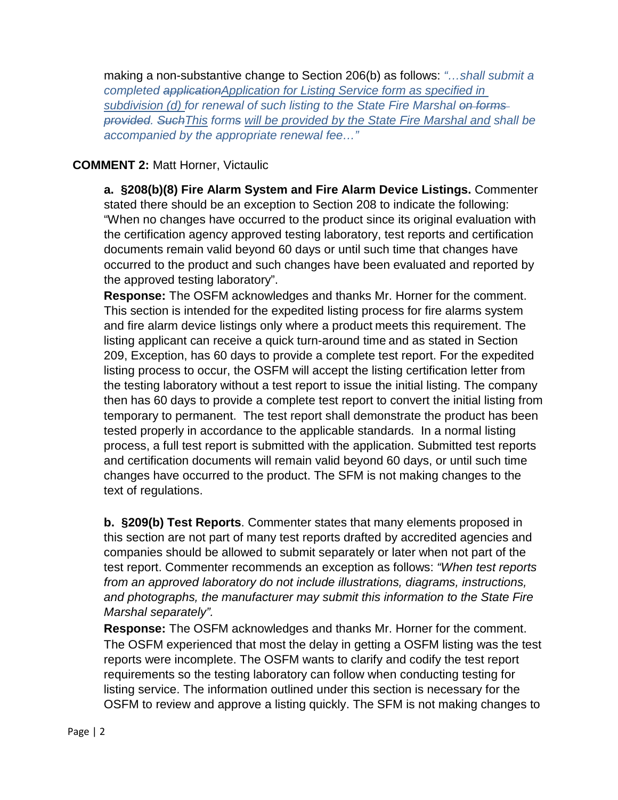making a non-substantive change to Section 206(b) as follows: *"…shall submit a completed applicationApplication for Listing Service form as specified in subdivision (d) for renewal of such listing to the State Fire Marshal on forms provided. SuchThis forms will be provided by the State Fire Marshal and shall be accompanied by the appropriate renewal fee…"*

## **COMMENT 2:** Matt Horner, Victaulic

**a. §208(b)(8) Fire Alarm System and Fire Alarm Device Listings.** Commenter stated there should be an exception to Section 208 to indicate the following: "When no changes have occurred to the product since its original evaluation with the certification agency approved testing laboratory, test reports and certification documents remain valid beyond 60 days or until such time that changes have occurred to the product and such changes have been evaluated and reported by the approved testing laboratory".

**Response:** The OSFM acknowledges and thanks Mr. Horner for the comment. This section is intended for the expedited listing process for fire alarms system and fire alarm device listings only where a product meets this requirement. The listing applicant can receive a quick turn-around time and as stated in Section 209, Exception, has 60 days to provide a complete test report. For the expedited listing process to occur, the OSFM will accept the listing certification letter from the testing laboratory without a test report to issue the initial listing. The company then has 60 days to provide a complete test report to convert the initial listing from temporary to permanent. The test report shall demonstrate the product has been tested properly in accordance to the applicable standards. In a normal listing process, a full test report is submitted with the application. Submitted test reports and certification documents will remain valid beyond 60 days, or until such time changes have occurred to the product. The SFM is not making changes to the text of regulations.

**b. §209(b) Test Reports**. Commenter states that many elements proposed in this section are not part of many test reports drafted by accredited agencies and companies should be allowed to submit separately or later when not part of the test report. Commenter recommends an exception as follows: *"When test reports from an approved laboratory do not include illustrations, diagrams, instructions, and photographs, the manufacturer may submit this information to the State Fire Marshal separately".*

**Response:** The OSFM acknowledges and thanks Mr. Horner for the comment. The OSFM experienced that most the delay in getting a OSFM listing was the test reports were incomplete. The OSFM wants to clarify and codify the test report requirements so the testing laboratory can follow when conducting testing for listing service. The information outlined under this section is necessary for the OSFM to review and approve a listing quickly. The SFM is not making changes to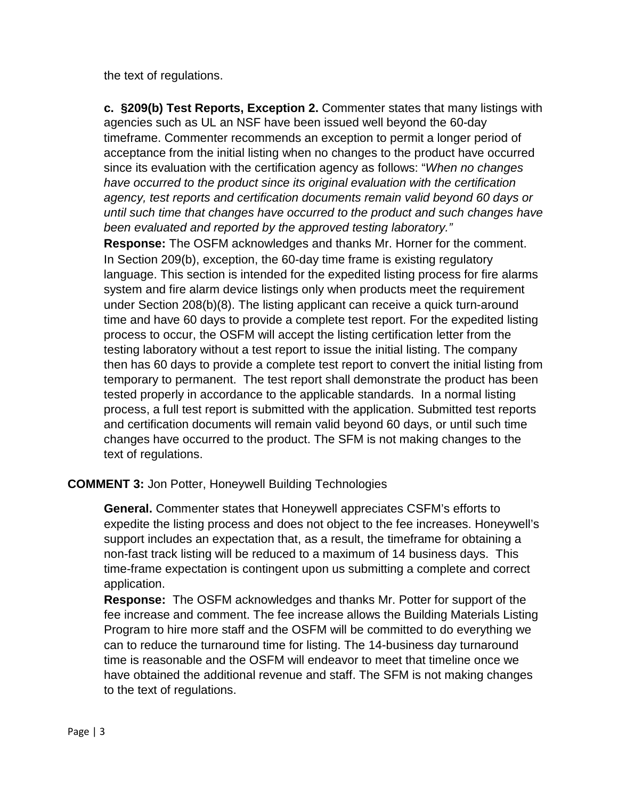the text of regulations.

**c. §209(b) Test Reports, Exception 2.** Commenter states that many listings with agencies such as UL an NSF have been issued well beyond the 60-day timeframe. Commenter recommends an exception to permit a longer period of acceptance from the initial listing when no changes to the product have occurred since its evaluation with the certification agency as follows: "*When no changes have occurred to the product since its original evaluation with the certification agency, test reports and certification documents remain valid beyond 60 days or until such time that changes have occurred to the product and such changes have been evaluated and reported by the approved testing laboratory."*

**Response:** The OSFM acknowledges and thanks Mr. Horner for the comment. In Section 209(b), exception, the 60-day time frame is existing regulatory language. This section is intended for the expedited listing process for fire alarms system and fire alarm device listings only when products meet the requirement under Section 208(b)(8). The listing applicant can receive a quick turn-around time and have 60 days to provide a complete test report. For the expedited listing process to occur, the OSFM will accept the listing certification letter from the testing laboratory without a test report to issue the initial listing. The company then has 60 days to provide a complete test report to convert the initial listing from temporary to permanent. The test report shall demonstrate the product has been tested properly in accordance to the applicable standards. In a normal listing process, a full test report is submitted with the application. Submitted test reports and certification documents will remain valid beyond 60 days, or until such time changes have occurred to the product. The SFM is not making changes to the text of regulations.

## **COMMENT 3:** Jon Potter, Honeywell Building Technologies

**General.** Commenter states that Honeywell appreciates CSFM's efforts to expedite the listing process and does not object to the fee increases. Honeywell's support includes an expectation that, as a result, the timeframe for obtaining a non-fast track listing will be reduced to a maximum of 14 business days. This time-frame expectation is contingent upon us submitting a complete and correct application.

**Response:** The OSFM acknowledges and thanks Mr. Potter for support of the fee increase and comment. The fee increase allows the Building Materials Listing Program to hire more staff and the OSFM will be committed to do everything we can to reduce the turnaround time for listing. The 14-business day turnaround time is reasonable and the OSFM will endeavor to meet that timeline once we have obtained the additional revenue and staff. The SFM is not making changes to the text of regulations.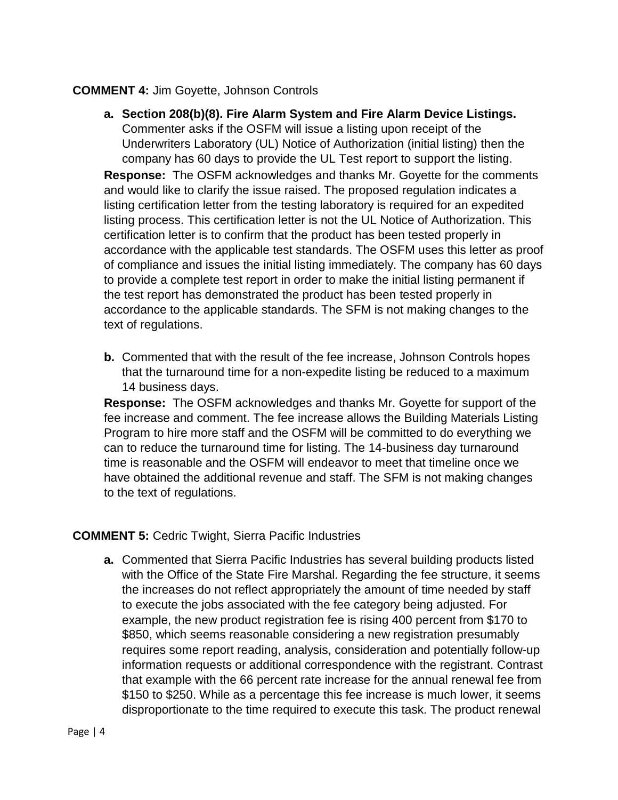## **COMMENT 4:** Jim Goyette, Johnson Controls

**a. Section 208(b)(8). Fire Alarm System and Fire Alarm Device Listings.**  Commenter asks if the OSFM will issue a listing upon receipt of the Underwriters Laboratory (UL) Notice of Authorization (initial listing) then the company has 60 days to provide the UL Test report to support the listing.

**Response:** The OSFM acknowledges and thanks Mr. Goyette for the comments and would like to clarify the issue raised. The proposed regulation indicates a listing certification letter from the testing laboratory is required for an expedited listing process. This certification letter is not the UL Notice of Authorization. This certification letter is to confirm that the product has been tested properly in accordance with the applicable test standards. The OSFM uses this letter as proof of compliance and issues the initial listing immediately. The company has 60 days to provide a complete test report in order to make the initial listing permanent if the test report has demonstrated the product has been tested properly in accordance to the applicable standards. The SFM is not making changes to the text of regulations.

**b.** Commented that with the result of the fee increase, Johnson Controls hopes that the turnaround time for a non-expedite listing be reduced to a maximum 14 business days.

**Response:** The OSFM acknowledges and thanks Mr. Goyette for support of the fee increase and comment. The fee increase allows the Building Materials Listing Program to hire more staff and the OSFM will be committed to do everything we can to reduce the turnaround time for listing. The 14-business day turnaround time is reasonable and the OSFM will endeavor to meet that timeline once we have obtained the additional revenue and staff. The SFM is not making changes to the text of regulations.

## **COMMENT 5:** Cedric Twight, Sierra Pacific Industries

**a.** Commented that Sierra Pacific Industries has several building products listed with the Office of the State Fire Marshal. Regarding the fee structure, it seems the increases do not reflect appropriately the amount of time needed by staff to execute the jobs associated with the fee category being adjusted. For example, the new product registration fee is rising 400 percent from \$170 to \$850, which seems reasonable considering a new registration presumably requires some report reading, analysis, consideration and potentially follow-up information requests or additional correspondence with the registrant. Contrast that example with the 66 percent rate increase for the annual renewal fee from \$150 to \$250. While as a percentage this fee increase is much lower, it seems disproportionate to the time required to execute this task. The product renewal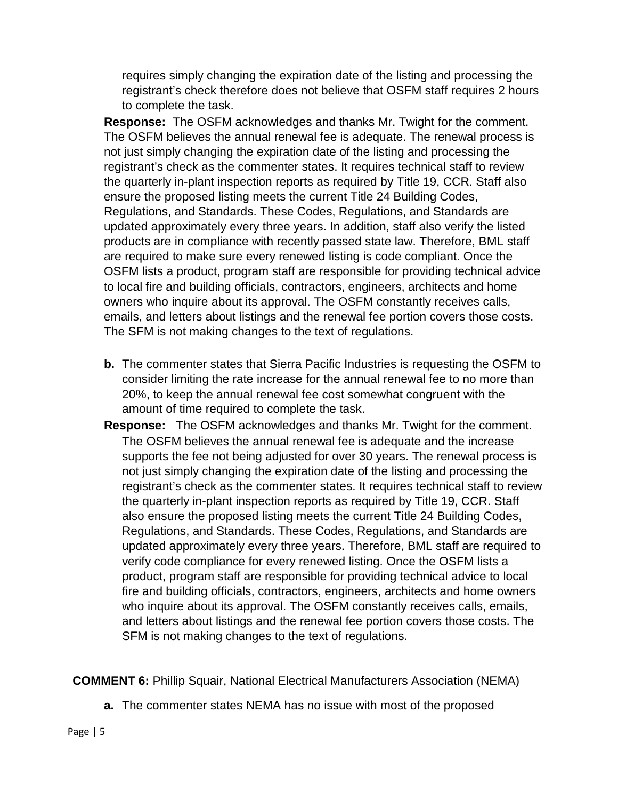requires simply changing the expiration date of the listing and processing the registrant's check therefore does not believe that OSFM staff requires 2 hours to complete the task.

**Response:** The OSFM acknowledges and thanks Mr. Twight for the comment. The OSFM believes the annual renewal fee is adequate. The renewal process is not just simply changing the expiration date of the listing and processing the registrant's check as the commenter states. It requires technical staff to review the quarterly in-plant inspection reports as required by Title 19, CCR. Staff also ensure the proposed listing meets the current Title 24 Building Codes, Regulations, and Standards. These Codes, Regulations, and Standards are updated approximately every three years. In addition, staff also verify the listed products are in compliance with recently passed state law. Therefore, BML staff are required to make sure every renewed listing is code compliant. Once the OSFM lists a product, program staff are responsible for providing technical advice to local fire and building officials, contractors, engineers, architects and home owners who inquire about its approval. The OSFM constantly receives calls, emails, and letters about listings and the renewal fee portion covers those costs. The SFM is not making changes to the text of regulations.

- **b.** The commenter states that Sierra Pacific Industries is requesting the OSFM to consider limiting the rate increase for the annual renewal fee to no more than 20%, to keep the annual renewal fee cost somewhat congruent with the amount of time required to complete the task.
- **Response:** The OSFM acknowledges and thanks Mr. Twight for the comment. The OSFM believes the annual renewal fee is adequate and the increase supports the fee not being adjusted for over 30 years. The renewal process is not just simply changing the expiration date of the listing and processing the registrant's check as the commenter states. It requires technical staff to review the quarterly in-plant inspection reports as required by Title 19, CCR. Staff also ensure the proposed listing meets the current Title 24 Building Codes, Regulations, and Standards. These Codes, Regulations, and Standards are updated approximately every three years. Therefore, BML staff are required to verify code compliance for every renewed listing. Once the OSFM lists a product, program staff are responsible for providing technical advice to local fire and building officials, contractors, engineers, architects and home owners who inquire about its approval. The OSFM constantly receives calls, emails, and letters about listings and the renewal fee portion covers those costs. The SFM is not making changes to the text of regulations.

**COMMENT 6:** Phillip Squair, National Electrical Manufacturers Association (NEMA)

**a.** The commenter states NEMA has no issue with most of the proposed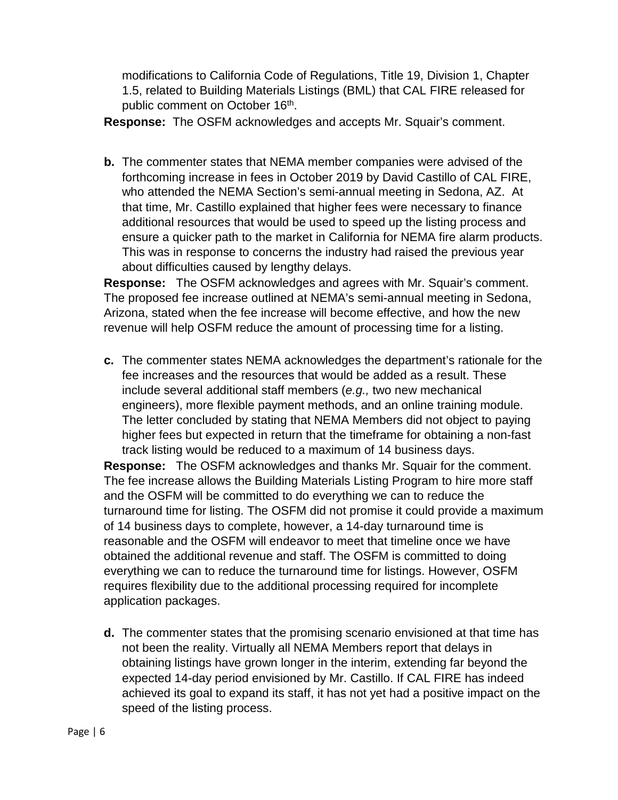modifications to California Code of Regulations, Title 19, Division 1, Chapter 1.5, related to Building Materials Listings (BML) that CAL FIRE released for public comment on October 16<sup>th</sup>.

**Response:** The OSFM acknowledges and accepts Mr. Squair's comment.

**b.** The commenter states that NEMA member companies were advised of the forthcoming increase in fees in October 2019 by David Castillo of CAL FIRE, who attended the NEMA Section's semi-annual meeting in Sedona, AZ. At that time, Mr. Castillo explained that higher fees were necessary to finance additional resources that would be used to speed up the listing process and ensure a quicker path to the market in California for NEMA fire alarm products. This was in response to concerns the industry had raised the previous year about difficulties caused by lengthy delays.

**Response:** The OSFM acknowledges and agrees with Mr. Squair's comment. The proposed fee increase outlined at NEMA's semi-annual meeting in Sedona, Arizona, stated when the fee increase will become effective, and how the new revenue will help OSFM reduce the amount of processing time for a listing.

**c.** The commenter states NEMA acknowledges the department's rationale for the fee increases and the resources that would be added as a result. These include several additional staff members (*e.g.,* two new mechanical engineers), more flexible payment methods, and an online training module. The letter concluded by stating that NEMA Members did not object to paying higher fees but expected in return that the timeframe for obtaining a non-fast track listing would be reduced to a maximum of 14 business days.

**Response:** The OSFM acknowledges and thanks Mr. Squair for the comment. The fee increase allows the Building Materials Listing Program to hire more staff and the OSFM will be committed to do everything we can to reduce the turnaround time for listing. The OSFM did not promise it could provide a maximum of 14 business days to complete, however, a 14-day turnaround time is reasonable and the OSFM will endeavor to meet that timeline once we have obtained the additional revenue and staff. The OSFM is committed to doing everything we can to reduce the turnaround time for listings. However, OSFM requires flexibility due to the additional processing required for incomplete application packages.

**d.** The commenter states that the promising scenario envisioned at that time has not been the reality. Virtually all NEMA Members report that delays in obtaining listings have grown longer in the interim, extending far beyond the expected 14-day period envisioned by Mr. Castillo. If CAL FIRE has indeed achieved its goal to expand its staff, it has not yet had a positive impact on the speed of the listing process.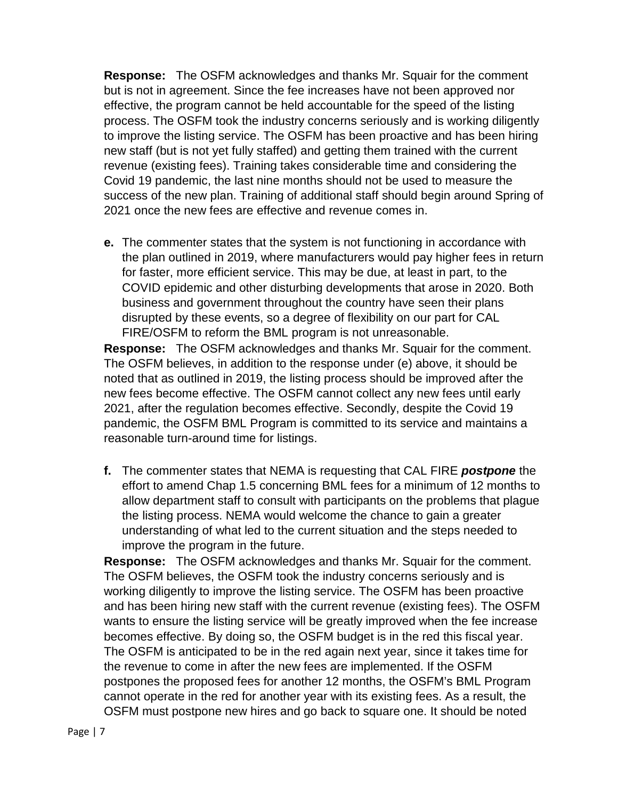**Response:** The OSFM acknowledges and thanks Mr. Squair for the comment but is not in agreement. Since the fee increases have not been approved nor effective, the program cannot be held accountable for the speed of the listing process. The OSFM took the industry concerns seriously and is working diligently to improve the listing service. The OSFM has been proactive and has been hiring new staff (but is not yet fully staffed) and getting them trained with the current revenue (existing fees). Training takes considerable time and considering the Covid 19 pandemic, the last nine months should not be used to measure the success of the new plan. Training of additional staff should begin around Spring of 2021 once the new fees are effective and revenue comes in.

**e.** The commenter states that the system is not functioning in accordance with the plan outlined in 2019, where manufacturers would pay higher fees in return for faster, more efficient service. This may be due, at least in part, to the COVID epidemic and other disturbing developments that arose in 2020. Both business and government throughout the country have seen their plans disrupted by these events, so a degree of flexibility on our part for CAL FIRE/OSFM to reform the BML program is not unreasonable.

**Response:** The OSFM acknowledges and thanks Mr. Squair for the comment. The OSFM believes, in addition to the response under (e) above, it should be noted that as outlined in 2019, the listing process should be improved after the new fees become effective. The OSFM cannot collect any new fees until early 2021, after the regulation becomes effective. Secondly, despite the Covid 19 pandemic, the OSFM BML Program is committed to its service and maintains a reasonable turn-around time for listings.

**f.** The commenter states that NEMA is requesting that CAL FIRE *postpone* the effort to amend Chap 1.5 concerning BML fees for a minimum of 12 months to allow department staff to consult with participants on the problems that plague the listing process. NEMA would welcome the chance to gain a greater understanding of what led to the current situation and the steps needed to improve the program in the future.

**Response:** The OSFM acknowledges and thanks Mr. Squair for the comment. The OSFM believes, the OSFM took the industry concerns seriously and is working diligently to improve the listing service. The OSFM has been proactive and has been hiring new staff with the current revenue (existing fees). The OSFM wants to ensure the listing service will be greatly improved when the fee increase becomes effective. By doing so, the OSFM budget is in the red this fiscal year. The OSFM is anticipated to be in the red again next year, since it takes time for the revenue to come in after the new fees are implemented. If the OSFM postpones the proposed fees for another 12 months, the OSFM's BML Program cannot operate in the red for another year with its existing fees. As a result, the OSFM must postpone new hires and go back to square one. It should be noted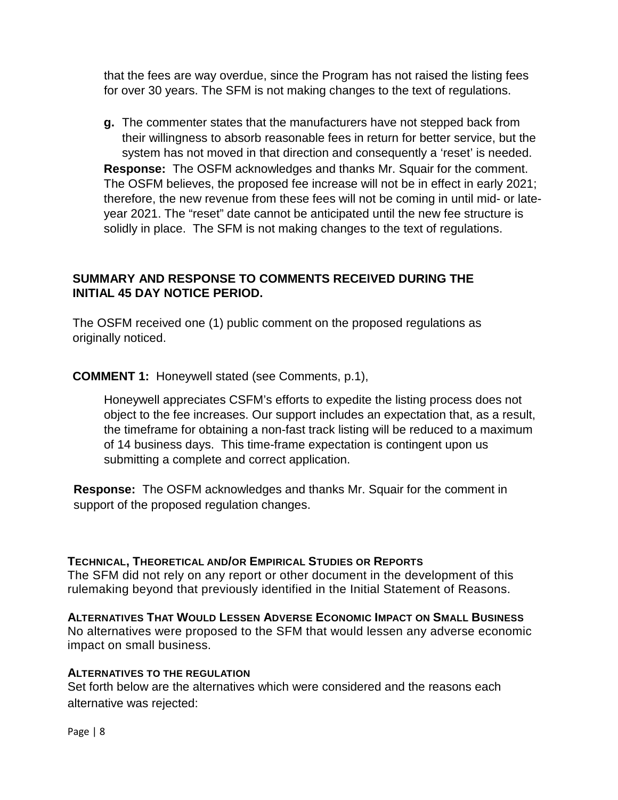that the fees are way overdue, since the Program has not raised the listing fees for over 30 years. The SFM is not making changes to the text of regulations.

**g.** The commenter states that the manufacturers have not stepped back from their willingness to absorb reasonable fees in return for better service, but the system has not moved in that direction and consequently a 'reset' is needed. **Response:** The OSFM acknowledges and thanks Mr. Squair for the comment. The OSFM believes, the proposed fee increase will not be in effect in early 2021; therefore, the new revenue from these fees will not be coming in until mid- or lateyear 2021. The "reset" date cannot be anticipated until the new fee structure is solidly in place. The SFM is not making changes to the text of regulations.

## **SUMMARY AND RESPONSE TO COMMENTS RECEIVED DURING THE INITIAL 45 DAY NOTICE PERIOD.**

The OSFM received one (1) public comment on the proposed regulations as originally noticed.

**COMMENT 1:** Honeywell stated (see Comments, p.1),

Honeywell appreciates CSFM's efforts to expedite the listing process does not object to the fee increases. Our support includes an expectation that, as a result, the timeframe for obtaining a non-fast track listing will be reduced to a maximum of 14 business days. This time-frame expectation is contingent upon us submitting a complete and correct application.

**Response:** The OSFM acknowledges and thanks Mr. Squair for the comment in support of the proposed regulation changes.

### **TECHNICAL, THEORETICAL AND/OR EMPIRICAL STUDIES OR REPORTS**

The SFM did not rely on any report or other document in the development of this rulemaking beyond that previously identified in the Initial Statement of Reasons.

### **ALTERNATIVES THAT WOULD LESSEN ADVERSE ECONOMIC IMPACT ON SMALL BUSINESS**

No alternatives were proposed to the SFM that would lessen any adverse economic impact on small business.

#### **ALTERNATIVES TO THE REGULATION**

Set forth below are the alternatives which were considered and the reasons each alternative was rejected: